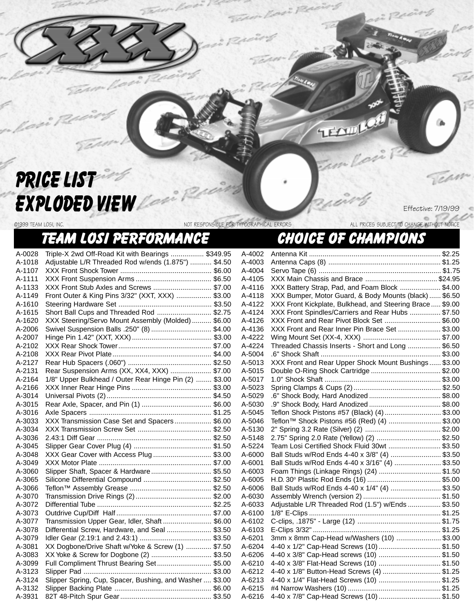## PRICE LIST EXPLODED VIEW

©1999 TEAM LOSI, INC. NOT RESPONSIBLE FOR TYPOGRAPHICAL ERRORS ALL PRICES SUBJECT TO CHANGE WITHOUT NOTICE

Effective: 7/19/99

## TEAM LOSI PERFORMANCE CHOICE OF CHAMPIONS

A-0028 Triple-X 2wd Off-Road Kit with Bearings ................. \$349.95 A-1018 Adjustable L/R Threaded Rod w/ends (1.875") ........... \$4.50 A-1107 XXX Front Shock Tower ............................................... \$6.00 A-1111 XXX Front Suspension Arms ....................................... \$6.50 A-1133 XXX Front Stub Axles and Screws .............................. \$7.00 A-1149 Front Outer & King Pins 3/32" (XXT, XXX) .................. \$3.00 A-1610 Steering Hardware Set ................................................ \$3.50 A-1615 Short Ball Cups and Threaded Rod ............................ \$2.75 A-1620 XXX Steering/Servo Mount Assembly (Molded) .......... \$6.00 A-2006 Swivel Suspension Balls .250" (8) ............................... \$4.00 A-2007 Hinge Pin 1.42" (XXT, XXX) ......................................... \$3.00 A-2102 XXX Rear Shock Tower................................................ \$7.00 A-2108 XXX Rear Pivot Plate................................................... \$4.00 A-2127 Rear Hub Spacers (.060") ........................................... \$2.50 A-2131 Rear Suspension Arms (XX, XX4, XXX) ..................... \$7.00 A-2164 1/8" Upper Bulkhead / Outer Rear Hinge Pin (2) ........ \$3.00 A-2166 XXX Inner Rear Hinge Pins ......................................... \$3.00 A-3014 Universal Pivots (2)...................................................... \$4.50 A-3015 Rear Axle, Spacer, and Pin (1) .................................... \$6.00 A-3016 Axle Spacers ............................................................... \$1.25 A-3033 XXX Transmission Case Set and Spacers................... \$6.00 A-3034 XXX Transmission Screw Set ...................................... \$2.50 A-3036 2.43:1 Diff Gear ........................................................... \$2.50 A-3045 Slipper Gear Cover Plug (4) ........................................ \$1.50 A-3048 XXX Gear Cover with Access Plug .............................. \$3.00 A-3049 XXX Motor Plate .......................................................... \$7.00 A-3060 Slipper Shaft, Spacer & Hardware............................... \$5.50 A-3065 Silicone Differential Compound ................................... \$2.50 A-3066 Teflon™ Assembly Grease .......................................... \$2.50 A-3070 Transmission Drive Rings (2) ....................................... \$2.00 A-3072 Differential Tube ........................................................... \$2.25 A-3073 Outdrive Cup/Diff Half ................................................. \$7.00 A-3077 Transmission Upper Gear, Idler, Shaft ......................... \$6.00 A-3078 Differential Screw, Hardware, and Seal ....................... \$3.50 A-3079 Idler Gear (2.19:1 and 2.43:1) ..................................... \$3.50 A-3081 XX Dogbone/Drive Shaft w/Yoke & Screw (1) ............. \$7.50 A-3083 XX Yoke & Screw for Dogbone (2) ............................... \$3.50 A-3099 Full Compliment Thrust Bearing Set............................ \$5.00 A-3123 Slipper Pad .................................................................. \$3.00 A-3124 Slipper Spring, Cup, Spacer, Bushing, and Washer .... \$3.00 A-3132 Slipper Backing Plate .................................................. \$6.00

A-3931 82T 48-Pitch Spur Gear............................................... \$3.50

| A-4002 |                                                          |  |
|--------|----------------------------------------------------------|--|
| A-4003 |                                                          |  |
| A-4004 |                                                          |  |
| A-4105 |                                                          |  |
| A-4116 | XXX Battery Strap, Pad, and Foam Block  \$4.00           |  |
| A-4118 | XXX Bumper, Motor Guard, & Body Mounts (black)  \$6.50   |  |
| A-4122 | XXX Front Kickplate, Bulkhead, and Steering Brace \$9.00 |  |
| A-4124 | XXX Front Spindles/Carriers and Rear Hubs  \$7.50        |  |
| A-4126 | XXX Front and Rear Pivot Block Set  \$6.00               |  |
| A-4136 | XXX Front and Rear Inner Pin Brace Set  \$3.00           |  |
| A-4222 |                                                          |  |
| A-4224 | Threaded Chassis Inserts - Short and Long  \$6.50        |  |
| A-5004 |                                                          |  |
| A-5013 | XXX Front and Rear Upper Shock Mount Bushings \$3.00     |  |
| A-5015 |                                                          |  |
| A-5017 |                                                          |  |
| A-5023 |                                                          |  |
| A-5029 |                                                          |  |
| A-5030 |                                                          |  |
| A-5045 | Teflon Shock Pistons #57 (Black) (4)  \$3.00             |  |
| A-5046 | Teflon <sup>™</sup> Shock Pistons #56 (Red) (4) \$3.00   |  |
| A-5130 |                                                          |  |
| A-5148 | 2.75" Spring 2.0 Rate (Yellow) (2)  \$2.50               |  |
| A-5224 | Team Losi Certified Shock Fluid 30wt  \$3.50             |  |
| A-6000 | Ball Studs w/Rod Ends 4-40 x 3/8" (4)  \$3.50            |  |
| A-6001 | Ball Studs w/Rod Ends 4-40 x 3/16" (4)  \$3.50           |  |
| A-6003 | Foam Things (Linkage Rings) (24) \$1.50                  |  |
| A-6005 |                                                          |  |
| A-6006 | Ball Studs w/Rod Ends 4-40 x 1/4" (4) \$3.50             |  |
| A-6030 |                                                          |  |
| A-6033 | Adjustable L/R Threaded Rod (1.5") w/Ends  \$3.50        |  |
| A-6100 |                                                          |  |
| A-6102 |                                                          |  |
| A-6103 |                                                          |  |
| A-6201 | 3mm x 8mm Cap-Head w/Washers (10)  \$3.00                |  |
| A-6204 | 4-40 x 1/2" Cap-Head Screws (10) \$1.50                  |  |
| A-6206 | 4-40 x 3/8" Cap-Head screws (10) \$1.50                  |  |
| A-6210 | 4-40 x 3/8" Flat-Head Screws (10) \$1.50                 |  |
| A-6212 | 4-40 x 1/8" Button-Head Screws (4) \$1.25                |  |
| A-6213 | 4-40 x 1/4" Flat-Head Screws (10) \$1.25                 |  |
| A-6215 |                                                          |  |
| A-6216 | 4-40 x 7/8" Cap-Head Screws (10)  \$1.50                 |  |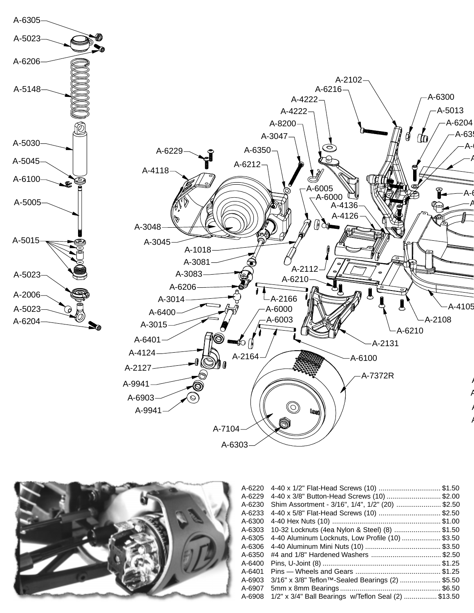



| A-6220<br>A-6229 | 4-40 x 3/8" Button-Head Screws (10) \$2.00                   | \$1.50 |
|------------------|--------------------------------------------------------------|--------|
| A-6230           | Shim Assortment - 3/16", 1/4", 1/2" (20) \$2.50              |        |
| A-6233           |                                                              | \$2.50 |
| A-6300           |                                                              | \$1.00 |
| A-6303           | 10-32 Locknuts (4ea Nylon & Steel) (8)  \$1.50               |        |
| A-6305           | 4-40 Aluminum Locknuts, Low Profile (10)                     | \$3.50 |
| A-6306           |                                                              |        |
| A-6350           |                                                              |        |
| A-6400           |                                                              |        |
| A-6401           |                                                              |        |
| A-6903           | $3/16$ " x $3/8$ " Teflon <sup>TM</sup> -Sealed Bearings (2) | \$5.50 |
| A-6907           |                                                              |        |
| A-6908           | 1/2" x 3/4" Ball Bearings w/Teflon Seal (2) \$13.50          |        |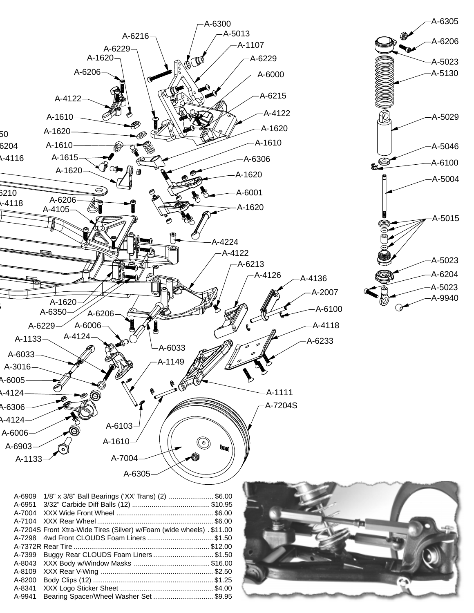